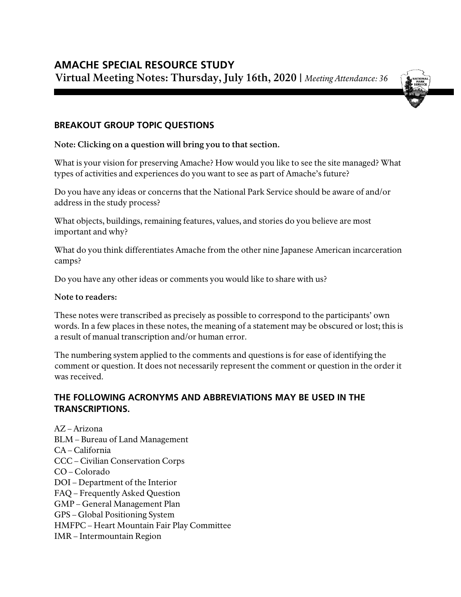

## **BREAKOUT GROUP TOPIC QUESTIONS**

**Note: Clicking on a question will bring you to that section.**

What is your vision for [preserving Amache? How would you like](#page-1-0) to see the site managed? What [types of activities and](#page-1-0) experiences do you want to see as part of Amache's future?

Do you have any ideas or concerns that [the National Park](#page-8-0) Service should be aware of and/or [address in the](#page-8-0) study process?

What objects, buildings, remaining features, [values, and stories do you believe](#page-11-0) are most [important and](#page-11-0) why?

What do you think differentiates Amache from the other nine [Japanese American incarceration](#page-16-0) [camps?](#page-16-0)

Do you have any other [ideas or comments you would like](#page-20-0) to share with us?

#### **Note to readers:**

These notes were transcribed as precisely as possible to correspond to the participants' own words. In a few places in these notes, the meaning of a statement may be obscured or lost; this is a result of manual transcription and/or human error.

The numbering system applied to the comments and questions is for ease of identifying the comment or question. It does not necessarily represent the comment or question in the order it was received.

# **THE FOLLOWING ACRONYMS AND ABBREVIATIONS MAY BE USED IN THE TRANSCRIPTIONS.**

AZ – Arizona BLM – Bureau of Land Management CA – California CCC – Civilian Conservation Corps CO – Colorado DOI – Department of the Interior FAQ – Frequently Asked Question GMP – General Management Plan GPS – Global Positioning System HMFPC – Heart Mountain Fair Play Committee IMR – Intermountain Region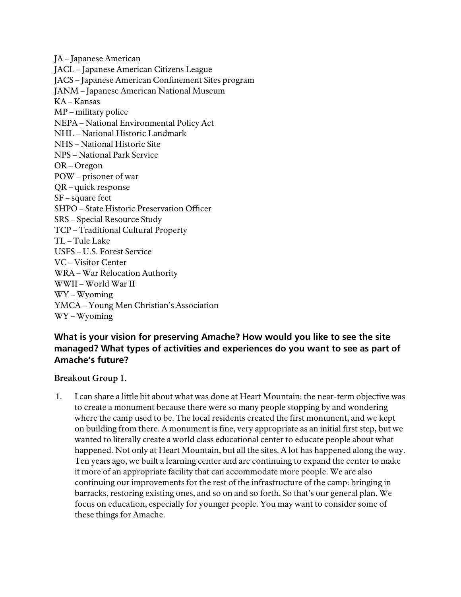JA – Japanese American JACL – Japanese American Citizens League JACS – Japanese American Confinement Sites program JANM – Japanese American National Museum KA – Kansas MP – military police NEPA – National Environmental Policy Act NHL – National Historic Landmark NHS – National Historic Site NPS – National Park Service OR – Oregon POW – prisoner of war QR – quick response SF – square feet SHPO – State Historic Preservation Officer SRS – Special Resource Study TCP – Traditional Cultural Property TL – Tule Lake USFS – U.S. Forest Service VC – Visitor Center WRA – War Relocation Authority WWII – World War II WY – Wyoming YMCA – Young Men Christian's Association WY – Wyoming

# <span id="page-1-0"></span>**What is your vision for preserving Amache? How would you like to see the site managed? What types of activities and experiences do you want to see as part of Amache's future?**

#### **Breakout Group 1.**

1. I can share a little bit about what was done at Heart Mountain: the near-term objective was to create a monument because there were so many people stopping by and wondering where the camp used to be. The local residents created the first monument, and we kept on building from there. A monument is fine, very appropriate as an initial first step, but we wanted to literally create a world class educational center to educate people about what happened. Not only at Heart Mountain, but all the sites. A lot has happened along the way. Ten years ago, we built a learning center and are continuing to expand the center to make it more of an appropriate facility that can accommodate more people. We are also continuing our improvements for the rest of the infrastructure of the camp: bringing in barracks, restoring existing ones, and so on and so forth. So that's our general plan. We focus on education, especially for younger people. You may want to consider some of these things for Amache.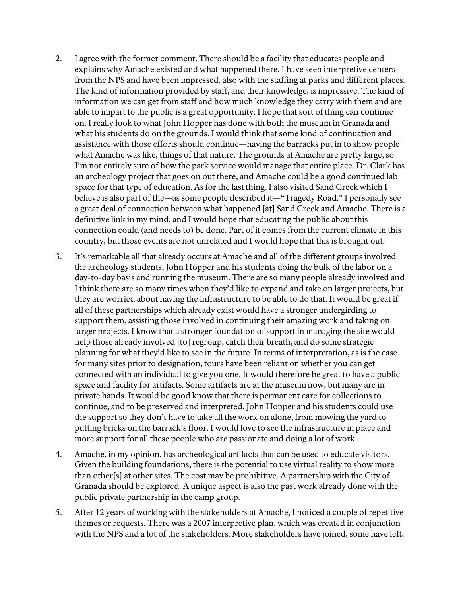- 2. I agree with the former comment. There should be a facility that educates people and explains why Amache existed and what happened there. I have seen interpretive centers from the NPS and have been impressed, also with the staffing at parks and different places. The kind of information provided by staff, and their knowledge, is impressive. The kind of information we can get from staff and how much knowledge they carry with them and are able to impart to the public is a great opportunity. I hope that sort of thing can continue on. I really look to what John Hopper has done with both the museum in Granada and what his students do on the grounds. I would think that some kind of continuation and assistance with those efforts should continue—having the barracks put in to show people what Amache was like, things of that nature. The grounds at Amache are pretty large, so I'm not entirely sure of how the park service would manage that entire place. Dr. Clark has an archeology project that goes on out there, and Amache could be a good continued lab space for that type of education. As for the last thing, I also visited Sand Creek which I believe is also part of the—as some people described it—"Tragedy Road." I personally see a great deal of connection between what happened [at] Sand Creek and Amache. There is a definitive link in my mind, and I would hope that educating the public about this connection could (and needs to) be done. Part of it comes from the current climate in this country, but those events are not unrelated and I would hope that this is brought out.
- 3. It's remarkable all that already occurs at Amache and all of the different groups involved: the archeology students, John Hopper and his students doing the bulk of the labor on a day-to-day basis and running the museum. There are so many people already involved and I think there are so many times when they'd like to expand and take on larger projects, but they are worried about having the infrastructure to be able to do that. It would be great if all of these partnerships which already exist would have a stronger undergirding to support them, assisting those involved in continuing their amazing work and taking on larger projects. I know that a stronger foundation of support in managing the site would help those already involved [to] regroup, catch their breath, and do some strategic planning for what they'd like to see in the future. In terms of interpretation, as is the case for many sites prior to designation, tours have been reliant on whether you can get connected with an individual to give you one. It would therefore be great to have a public space and facility for artifacts. Some artifacts are at the museum now, but many are in private hands. It would be good know that there is permanent care for collections to continue, and to be preserved and interpreted. John Hopper and his students could use the support so they don't have to take all the work on alone, from mowing the yard to putting bricks on the barrack's floor. I would love to see the infrastructure in place and more support for all these people who are passionate and doing a lot of work.
- 4. Amache, in my opinion, has archeological artifacts that can be used to educate visitors. Given the building foundations, there is the potential to use virtual reality to show more than other[s] at other sites. The cost may be prohibitive. A partnership with the City of Granada should be explored. A unique aspect is also the past work already done with the public private partnership in the camp group.
- 5. After 12 years of working with the stakeholders at Amache, I noticed a couple of repetitive themes or requests. There was a 2007 interpretive plan, which was created in conjunction with the NPS and a lot of the stakeholders. More stakeholders have joined, some have left,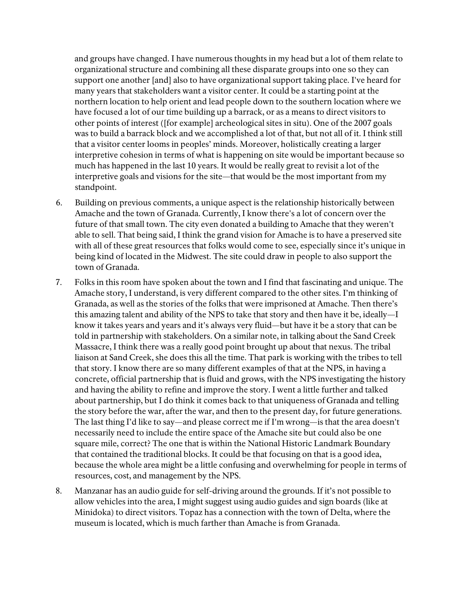and groups have changed. I have numerous thoughts in my head but a lot of them relate to organizational structure and combining all these disparate groups into one so they can support one another [and] also to have organizational support taking place. I've heard for many years that stakeholders want a visitor center. It could be a starting point at the northern location to help orient and lead people down to the southern location where we have focused a lot of our time building up a barrack, or as a means to direct visitors to other points of interest ([for example] archeological sites in situ). One of the 2007 goals was to build a barrack block and we accomplished a lot of that, but not all of it. I think still that a visitor center looms in peoples' minds. Moreover, holistically creating a larger interpretive cohesion in terms of what is happening on site would be important because so much has happened in the last 10 years. It would be really great to revisit a lot of the interpretive goals and visions for the site—that would be the most important from my standpoint.

- 6. Building on previous comments, a unique aspect is the relationship historically between Amache and the town of Granada. Currently, I know there's a lot of concern over the future of that small town. The city even donated a building to Amache that they weren't able to sell. That being said, I think the grand vision for Amache is to have a preserved site with all of these great resources that folks would come to see, especially since it's unique in being kind of located in the Midwest. The site could draw in people to also support the town of Granada.
- 7. Folks in this room have spoken about the town and I find that fascinating and unique. The Amache story, I understand, is very different compared to the other sites. I'm thinking of Granada, as well as the stories of the folks that were imprisoned at Amache. Then there's this amazing talent and ability of the NPS to take that story and then have it be, ideally—I know it takes years and years and it's always very fluid—but have it be a story that can be told in partnership with stakeholders. On a similar note, in talking about the Sand Creek Massacre, I think there was a really good point brought up about that nexus. The tribal liaison at Sand Creek, she does this all the time. That park is working with the tribes to tell that story. I know there are so many different examples of that at the NPS, in having a concrete, official partnership that is fluid and grows, with the NPS investigating the history and having the ability to refine and improve the story. I went a little further and talked about partnership, but I do think it comes back to that uniqueness of Granada and telling the story before the war, after the war, and then to the present day, for future generations. The last thing I'd like to say—and please correct me if I'm wrong—is that the area doesn't necessarily need to include the entire space of the Amache site but could also be one square mile, correct? The one that is within the National Historic Landmark Boundary that contained the traditional blocks. It could be that focusing on that is a good idea, because the whole area might be a little confusing and overwhelming for people in terms of resources, cost, and management by the NPS.
- 8. Manzanar has an audio guide for self-driving around the grounds. If it's not possible to allow vehicles into the area, I might suggest using audio guides and sign boards (like at Minidoka) to direct visitors. Topaz has a connection with the town of Delta, where the museum is located, which is much farther than Amache is from Granada.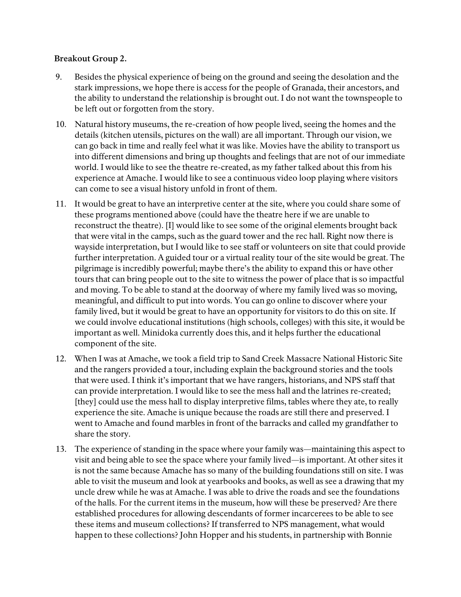- 9. Besides the physical experience of being on the ground and seeing the desolation and the stark impressions, we hope there is access for the people of Granada, their ancestors, and the ability to understand the relationship is brought out. I do not want the townspeople to be left out or forgotten from the story.
- 10. Natural history museums, the re-creation of how people lived, seeing the homes and the details (kitchen utensils, pictures on the wall) are all important. Through our vision, we can go back in time and really feel what it was like. Movies have the ability to transport us into different dimensions and bring up thoughts and feelings that are not of our immediate world. I would like to see the theatre re-created, as my father talked about this from his experience at Amache. I would like to see a continuous video loop playing where visitors can come to see a visual history unfold in front of them.
- 11. It would be great to have an interpretive center at the site, where you could share some of these programs mentioned above (could have the theatre here if we are unable to reconstruct the theatre). [I] would like to see some of the original elements brought back that were vital in the camps, such as the guard tower and the rec hall. Right now there is wayside interpretation, but I would like to see staff or volunteers on site that could provide further interpretation. A guided tour or a virtual reality tour of the site would be great. The pilgrimage is incredibly powerful; maybe there's the ability to expand this or have other tours that can bring people out to the site to witness the power of place that is so impactful and moving. To be able to stand at the doorway of where my family lived was so moving, meaningful, and difficult to put into words. You can go online to discover where your family lived, but it would be great to have an opportunity for visitors to do this on site. If we could involve educational institutions (high schools, colleges) with this site, it would be important as well. Minidoka currently does this, and it helps further the educational component of the site.
- 12. When I was at Amache, we took a field trip to Sand Creek Massacre National Historic Site and the rangers provided a tour, including explain the background stories and the tools that were used. I think it's important that we have rangers, historians, and NPS staff that can provide interpretation. I would like to see the mess hall and the latrines re-created; [they] could use the mess hall to display interpretive films, tables where they ate, to really experience the site. Amache is unique because the roads are still there and preserved. I went to Amache and found marbles in front of the barracks and called my grandfather to share the story.
- 13. The experience of standing in the space where your family was—maintaining this aspect to visit and being able to see the space where your family lived—is important. At other sites it is not the same because Amache has so many of the building foundations still on site. I was able to visit the museum and look at yearbooks and books, as well as see a drawing that my uncle drew while he was at Amache. I was able to drive the roads and see the foundations of the halls. For the current items in the museum, how will these be preserved? Are there established procedures for allowing descendants of former incarcerees to be able to see these items and museum collections? If transferred to NPS management, what would happen to these collections? John Hopper and his students, in partnership with Bonnie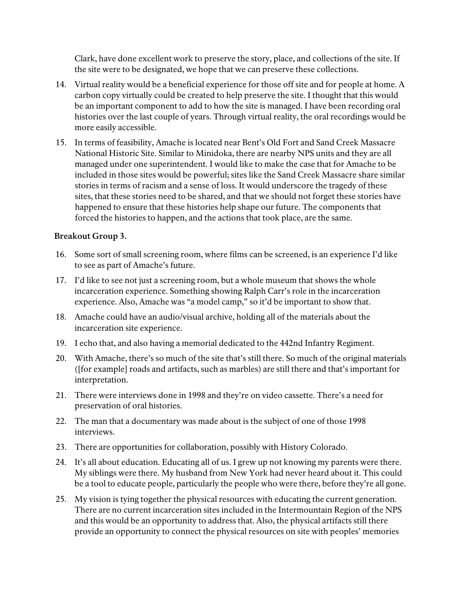Clark, have done excellent work to preserve the story, place, and collections of the site. If the site were to be designated, we hope that we can preserve these collections.

- 14. Virtual reality would be a beneficial experience for those off site and for people at home. A carbon copy virtually could be created to help preserve the site. I thought that this would be an important component to add to how the site is managed. I have been recording oral histories over the last couple of years. Through virtual reality, the oral recordings would be more easily accessible.
- 15. In terms of feasibility, Amache is located near Bent's Old Fort and Sand Creek Massacre National Historic Site. Similar to Minidoka, there are nearby NPS units and they are all managed under one superintendent. I would like to make the case that for Amache to be included in those sites would be powerful; sites like the Sand Creek Massacre share similar stories in terms of racism and a sense of loss. It would underscore the tragedy of these sites, that these stories need to be shared, and that we should not forget these stories have happened to ensure that these histories help shape our future. The components that forced the histories to happen, and the actions that took place, are the same.

- 16. Some sort of small screening room, where films can be screened, is an experience I'd like to see as part of Amache's future.
- 17. I'd like to see not just a screening room, but a whole museum that shows the whole incarceration experience. Something showing Ralph Carr's role in the incarceration experience. Also, Amache was "a model camp," so it'd be important to show that.
- 18. Amache could have an audio/visual archive, holding all of the materials about the incarceration site experience.
- 19. I echo that, and also having a memorial dedicated to the 442nd Infantry Regiment.
- 20. With Amache, there's so much of the site that's still there. So much of the original materials ([for example] roads and artifacts, such as marbles) are still there and that's important for interpretation.
- 21. There were interviews done in 1998 and they're on video cassette. There's a need for preservation of oral histories.
- 22. The man that a documentary was made about is the subject of one of those 1998 interviews.
- 23. There are opportunities for collaboration, possibly with History Colorado.
- 24. It's all about education. Educating all of us. I grew up not knowing my parents were there. My siblings were there. My husband from New York had never heard about it. This could be a tool to educate people, particularly the people who were there, before they're all gone.
- 25. My vision is tying together the physical resources with educating the current generation. There are no current incarceration sites included in the Intermountain Region of the NPS and this would be an opportunity to address that. Also, the physical artifacts still there provide an opportunity to connect the physical resources on site with peoples' memories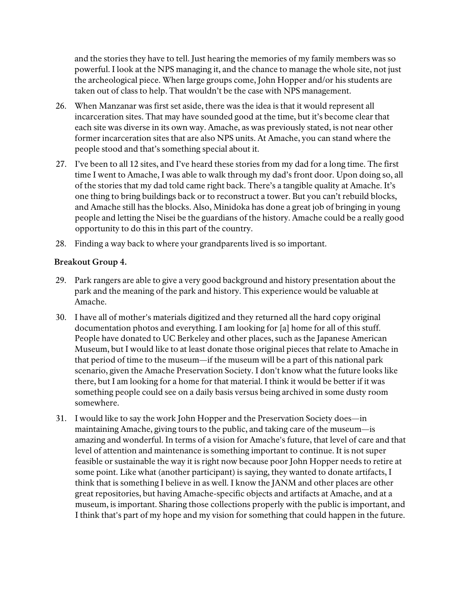and the stories they have to tell. Just hearing the memories of my family members was so powerful. I look at the NPS managing it, and the chance to manage the whole site, not just the archeological piece. When large groups come, John Hopper and/or his students are taken out of class to help. That wouldn't be the case with NPS management.

- 26. When Manzanar was first set aside, there was the idea is that it would represent all incarceration sites. That may have sounded good at the time, but it's become clear that each site was diverse in its own way. Amache, as was previously stated, is not near other former incarceration sites that are also NPS units. At Amache, you can stand where the people stood and that's something special about it.
- 27. I've been to all 12 sites, and I've heard these stories from my dad for a long time. The first time I went to Amache, I was able to walk through my dad's front door. Upon doing so, all of the stories that my dad told came right back. There's a tangible quality at Amache. It's one thing to bring buildings back or to reconstruct a tower. But you can't rebuild blocks, and Amache still has the blocks. Also, Minidoka has done a great job of bringing in young people and letting the Nisei be the guardians of the history. Amache could be a really good opportunity to do this in this part of the country.
- 28. Finding a way back to where your grandparents lived is so important.

- 29. Park rangers are able to give a very good background and history presentation about the park and the meaning of the park and history. This experience would be valuable at Amache.
- 30. I have all of mother's materials digitized and they returned all the hard copy original documentation photos and everything. I am looking for [a] home for all of this stuff. People have donated to UC Berkeley and other places, such as the Japanese American Museum, but I would like to at least donate those original pieces that relate to Amache in that period of time to the museum—if the museum will be a part of this national park scenario, given the Amache Preservation Society. I don't know what the future looks like there, but I am looking for a home for that material. I think it would be better if it was something people could see on a daily basis versus being archived in some dusty room somewhere.
- 31. I would like to say the work John Hopper and the Preservation Society does—in maintaining Amache, giving tours to the public, and taking care of the museum—is amazing and wonderful. In terms of a vision for Amache's future, that level of care and that level of attention and maintenance is something important to continue. It is not super feasible or sustainable the way it is right now because poor John Hopper needs to retire at some point. Like what (another participant) is saying, they wanted to donate artifacts, I think that is something I believe in as well. I know the JANM and other places are other great repositories, but having Amache-specific objects and artifacts at Amache, and at a museum, is important. Sharing those collections properly with the public is important, and I think that's part of my hope and my vision for something that could happen in the future.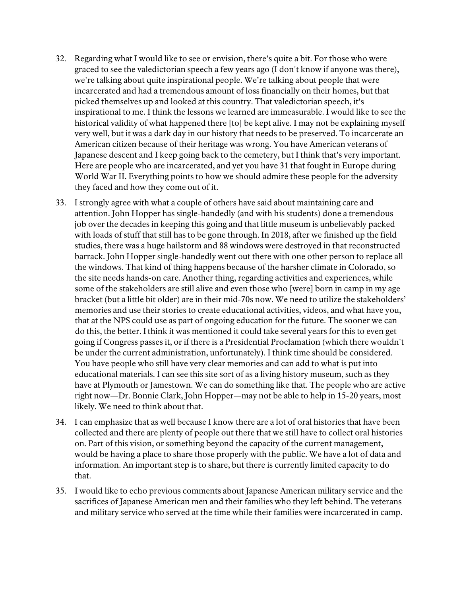- 32. Regarding what I would like to see or envision, there's quite a bit. For those who were graced to see the valedictorian speech a few years ago (I don't know if anyone was there), we're talking about quite inspirational people. We're talking about people that were incarcerated and had a tremendous amount of loss financially on their homes, but that picked themselves up and looked at this country. That valedictorian speech, it's inspirational to me. I think the lessons we learned are immeasurable. I would like to see the historical validity of what happened there [to] be kept alive. I may not be explaining myself very well, but it was a dark day in our history that needs to be preserved. To incarcerate an American citizen because of their heritage was wrong. You have American veterans of Japanese descent and I keep going back to the cemetery, but I think that's very important. Here are people who are incarcerated, and yet you have 31 that fought in Europe during World War II. Everything points to how we should admire these people for the adversity they faced and how they come out of it.
- 33. I strongly agree with what a couple of others have said about maintaining care and attention. John Hopper has single-handedly (and with his students) done a tremendous job over the decades in keeping this going and that little museum is unbelievably packed with loads of stuff that still has to be gone through. In 2018, after we finished up the field studies, there was a huge hailstorm and 88 windows were destroyed in that reconstructed barrack. John Hopper single-handedly went out there with one other person to replace all the windows. That kind of thing happens because of the harsher climate in Colorado, so the site needs hands-on care. Another thing, regarding activities and experiences, while some of the stakeholders are still alive and even those who [were] born in camp in my age bracket (but a little bit older) are in their mid-70s now. We need to utilize the stakeholders' memories and use their stories to create educational activities, videos, and what have you, that at the NPS could use as part of ongoing education for the future. The sooner we can do this, the better. I think it was mentioned it could take several years for this to even get going if Congress passes it, or if there is a Presidential Proclamation (which there wouldn't be under the current administration, unfortunately). I think time should be considered. You have people who still have very clear memories and can add to what is put into educational materials. I can see this site sort of as a living history museum, such as they have at Plymouth or Jamestown. We can do something like that. The people who are active right now—Dr. Bonnie Clark, John Hopper—may not be able to help in 15-20 years, most likely. We need to think about that.
- 34. I can emphasize that as well because I know there are a lot of oral histories that have been collected and there are plenty of people out there that we still have to collect oral histories on. Part of this vision, or something beyond the capacity of the current management, would be having a place to share those properly with the public. We have a lot of data and information. An important step is to share, but there is currently limited capacity to do that.
- 35. I would like to echo previous comments about Japanese American military service and the sacrifices of Japanese American men and their families who they left behind. The veterans and military service who served at the time while their families were incarcerated in camp.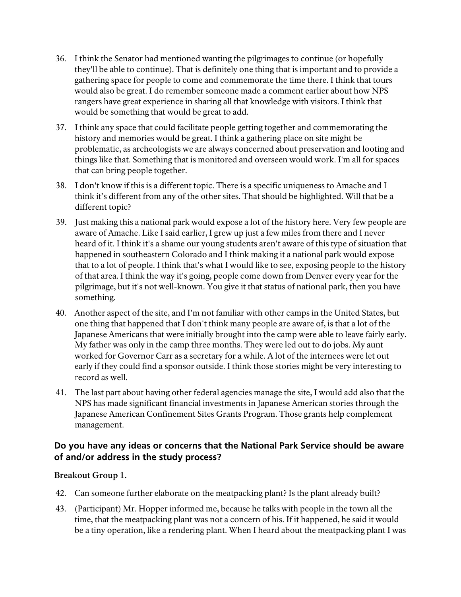- 36. I think the Senator had mentioned wanting the pilgrimages to continue (or hopefully they'll be able to continue). That is definitely one thing that is important and to provide a gathering space for people to come and commemorate the time there. I think that tours would also be great. I do remember someone made a comment earlier about how NPS rangers have great experience in sharing all that knowledge with visitors. I think that would be something that would be great to add.
- 37. I think any space that could facilitate people getting together and commemorating the history and memories would be great. I think a gathering place on site might be problematic, as archeologists we are always concerned about preservation and looting and things like that. Something that is monitored and overseen would work. I'm all for spaces that can bring people together.
- 38. I don't know if this is a different topic. There is a specific uniqueness to Amache and I think it's different from any of the other sites. That should be highlighted. Will that be a different topic?
- 39. Just making this a national park would expose a lot of the history here. Very few people are aware of Amache. Like I said earlier, I grew up just a few miles from there and I never heard of it. I think it's a shame our young students aren't aware of this type of situation that happened in southeastern Colorado and I think making it a national park would expose that to a lot of people. I think that's what I would like to see, exposing people to the history of that area. I think the way it's going, people come down from Denver every year for the pilgrimage, but it's not well-known. You give it that status of national park, then you have something.
- 40. Another aspect of the site, and I'm not familiar with other camps in the United States, but one thing that happened that I don't think many people are aware of, is that a lot of the Japanese Americans that were initially brought into the camp were able to leave fairly early. My father was only in the camp three months. They were led out to do jobs. My aunt worked for Governor Carr as a secretary for a while. A lot of the internees were let out early if they could find a sponsor outside. I think those stories might be very interesting to record as well.
- 41. The last part about having other federal agencies manage the site, I would add also that the NPS has made significant financial investments in Japanese American stories through the Japanese American Confinement Sites Grants Program. Those grants help complement management.

## <span id="page-8-0"></span>**Do you have any ideas or concerns that the National Park Service should be aware of and/or address in the study process?**

- 42. Can someone further elaborate on the meatpacking plant? Is the plant already built?
- 43. (Participant) Mr. Hopper informed me, because he talks with people in the town all the time, that the meatpacking plant was not a concern of his. If it happened, he said it would be a tiny operation, like a rendering plant. When I heard about the meatpacking plant I was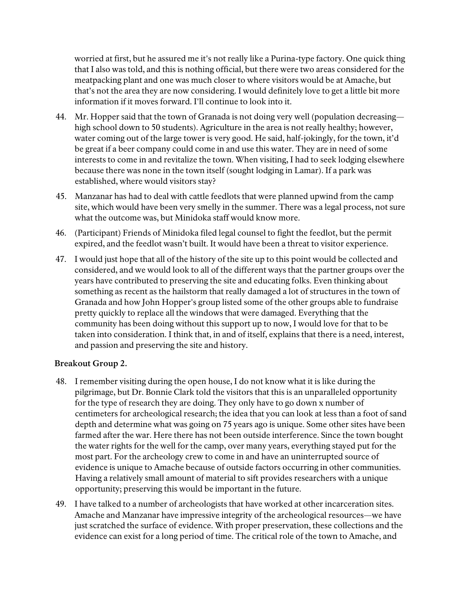worried at first, but he assured me it's not really like a Purina-type factory. One quick thing that I also was told, and this is nothing official, but there were two areas considered for the meatpacking plant and one was much closer to where visitors would be at Amache, but that's not the area they are now considering. I would definitely love to get a little bit more information if it moves forward. I'll continue to look into it.

- 44. Mr. Hopper said that the town of Granada is not doing very well (population decreasing high school down to 50 students). Agriculture in the area is not really healthy; however, water coming out of the large tower is very good. He said, half-jokingly, for the town, it'd be great if a beer company could come in and use this water. They are in need of some interests to come in and revitalize the town. When visiting, I had to seek lodging elsewhere because there was none in the town itself (sought lodging in Lamar). If a park was established, where would visitors stay?
- 45. Manzanar has had to deal with cattle feedlots that were planned upwind from the camp site, which would have been very smelly in the summer. There was a legal process, not sure what the outcome was, but Minidoka staff would know more.
- 46. (Participant) Friends of Minidoka filed legal counsel to fight the feedlot, but the permit expired, and the feedlot wasn't built. It would have been a threat to visitor experience.
- 47. I would just hope that all of the history of the site up to this point would be collected and considered, and we would look to all of the different ways that the partner groups over the years have contributed to preserving the site and educating folks. Even thinking about something as recent as the hailstorm that really damaged a lot of structures in the town of Granada and how John Hopper's group listed some of the other groups able to fundraise pretty quickly to replace all the windows that were damaged. Everything that the community has been doing without this support up to now, I would love for that to be taken into consideration. I think that, in and of itself, explains that there is a need, interest, and passion and preserving the site and history.

- 48. I remember visiting during the open house, I do not know what it is like during the pilgrimage, but Dr. Bonnie Clark told the visitors that this is an unparalleled opportunity for the type of research they are doing. They only have to go down x number of centimeters for archeological research; the idea that you can look at less than a foot of sand depth and determine what was going on 75 years ago is unique. Some other sites have been farmed after the war. Here there has not been outside interference. Since the town bought the water rights for the well for the camp, over many years, everything stayed put for the most part. For the archeology crew to come in and have an uninterrupted source of evidence is unique to Amache because of outside factors occurring in other communities. Having a relatively small amount of material to sift provides researchers with a unique opportunity; preserving this would be important in the future.
- 49. I have talked to a number of archeologists that have worked at other incarceration sites. Amache and Manzanar have impressive integrity of the archeological resources—we have just scratched the surface of evidence. With proper preservation, these collections and the evidence can exist for a long period of time. The critical role of the town to Amache, and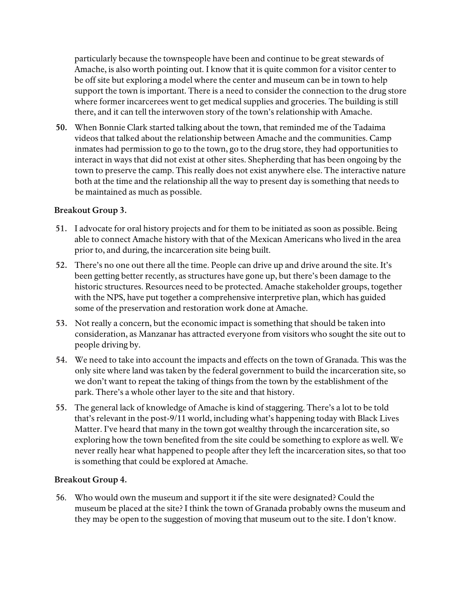particularly because the townspeople have been and continue to be great stewards of Amache, is also worth pointing out. I know that it is quite common for a visitor center to be off site but exploring a model where the center and museum can be in town to help support the town is important. There is a need to consider the connection to the drug store where former incarcerees went to get medical supplies and groceries. The building is still there, and it can tell the interwoven story of the town's relationship with Amache.

**50.** When Bonnie Clark started talking about the town, that reminded me of the Tadaima videos that talked about the relationship between Amache and the communities. Camp inmates had permission to go to the town, go to the drug store, they had opportunities to interact in ways that did not exist at other sites. Shepherding that has been ongoing by the town to preserve the camp. This really does not exist anywhere else. The interactive nature both at the time and the relationship all the way to present day is something that needs to be maintained as much as possible.

### **Breakout Group 3.**

- **51.** I advocate for oral history projects and for them to be initiated as soon as possible. Being able to connect Amache history with that of the Mexican Americans who lived in the area prior to, and during, the incarceration site being built.
- **52.** There's no one out there all the time. People can drive up and drive around the site. It's been getting better recently, as structures have gone up, but there's been damage to the historic structures. Resources need to be protected. Amache stakeholder groups, together with the NPS, have put together a comprehensive interpretive plan, which has guided some of the preservation and restoration work done at Amache.
- **53.** Not really a concern, but the economic impact is something that should be taken into consideration, as Manzanar has attracted everyone from visitors who sought the site out to people driving by.
- **54.** We need to take into account the impacts and effects on the town of Granada. This was the only site where land was taken by the federal government to build the incarceration site, so we don't want to repeat the taking of things from the town by the establishment of the park. There's a whole other layer to the site and that history.
- **55.** The general lack of knowledge of Amache is kind of staggering. There's a lot to be told that's relevant in the post-9/11 world, including what's happening today with Black Lives Matter. I've heard that many in the town got wealthy through the incarceration site, so exploring how the town benefited from the site could be something to explore as well. We never really hear what happened to people after they left the incarceration sites, so that too is something that could be explored at Amache.

#### **Breakout Group 4.**

56. Who would own the museum and support it if the site were designated? Could the museum be placed at the site? I think the town of Granada probably owns the museum and they may be open to the suggestion of moving that museum out to the site. I don't know.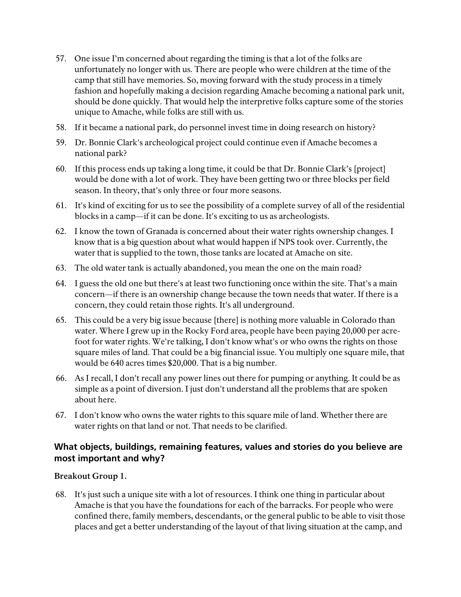- 57. One issue I'm concerned about regarding the timing is that a lot of the folks are unfortunately no longer with us. There are people who were children at the time of the camp that still have memories. So, moving forward with the study process in a timely fashion and hopefully making a decision regarding Amache becoming a national park unit, should be done quickly. That would help the interpretive folks capture some of the stories unique to Amache, while folks are still with us.
- 58. If it became a national park, do personnel invest time in doing research on history?
- 59. Dr. Bonnie Clark's archeological project could continue even if Amache becomes a national park?
- 60. If this process ends up taking a long time, it could be that Dr. Bonnie Clark's [project] would be done with a lot of work. They have been getting two or three blocks per field season. In theory, that's only three or four more seasons.
- 61. It's kind of exciting for us to see the possibility of a complete survey of all of the residential blocks in a camp—if it can be done. It's exciting to us as archeologists.
- 62. I know the town of Granada is concerned about their water rights ownership changes. I know that is a big question about what would happen if NPS took over. Currently, the water that is supplied to the town, those tanks are located at Amache on site.
- 63. The old water tank is actually abandoned, you mean the one on the main road?
- 64. I guess the old one but there's at least two functioning once within the site. That's a main concern—if there is an ownership change because the town needs that water. If there is a concern, they could retain those rights. It's all underground.
- 65. This could be a very big issue because [there] is nothing more valuable in Colorado than water. Where I grew up in the Rocky Ford area, people have been paying 20,000 per acrefoot for water rights. We're talking, I don't know what's or who owns the rights on those square miles of land. That could be a big financial issue. You multiply one square mile, that would be 640 acres times \$20,000. That is a big number.
- 66. As I recall, I don't recall any power lines out there for pumping or anything. It could be as simple as a point of diversion. I just don't understand all the problems that are spoken about here.
- 67. I don't know who owns the water rights to this square mile of land. Whether there are water rights on that land or not. That needs to be clarified.

# <span id="page-11-0"></span>**What objects, buildings, remaining features, values and stories do you believe are most important and why?**

### **Breakout Group 1.**

68. It's just such a unique site with a lot of resources. I think one thing in particular about Amache is that you have the foundations for each of the barracks. For people who were confined there, family members, descendants, or the general public to be able to visit those places and get a better understanding of the layout of that living situation at the camp, and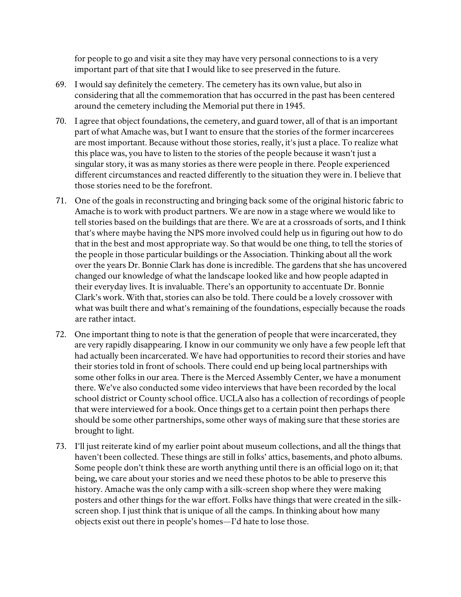for people to go and visit a site they may have very personal connections to is a very important part of that site that I would like to see preserved in the future.

- 69. I would say definitely the cemetery. The cemetery has its own value, but also in considering that all the commemoration that has occurred in the past has been centered around the cemetery including the Memorial put there in 1945.
- 70. I agree that object foundations, the cemetery, and guard tower, all of that is an important part of what Amache was, but I want to ensure that the stories of the former incarcerees are most important. Because without those stories, really, it's just a place. To realize what this place was, you have to listen to the stories of the people because it wasn't just a singular story, it was as many stories as there were people in there. People experienced different circumstances and reacted differently to the situation they were in. I believe that those stories need to be the forefront.
- 71. One of the goals in reconstructing and bringing back some of the original historic fabric to Amache is to work with product partners. We are now in a stage where we would like to tell stories based on the buildings that are there. We are at a crossroads of sorts, and I think that's where maybe having the NPS more involved could help us in figuring out how to do that in the best and most appropriate way. So that would be one thing, to tell the stories of the people in those particular buildings or the Association. Thinking about all the work over the years Dr. Bonnie Clark has done is incredible. The gardens that she has uncovered changed our knowledge of what the landscape looked like and how people adapted in their everyday lives. It is invaluable. There's an opportunity to accentuate Dr. Bonnie Clark's work. With that, stories can also be told. There could be a lovely crossover with what was built there and what's remaining of the foundations, especially because the roads are rather intact.
- 72. One important thing to note is that the generation of people that were incarcerated, they are very rapidly disappearing. I know in our community we only have a few people left that had actually been incarcerated. We have had opportunities to record their stories and have their stories told in front of schools. There could end up being local partnerships with some other folks in our area. There is the Merced Assembly Center, we have a monument there. We've also conducted some video interviews that have been recorded by the local school district or County school office. UCLA also has a collection of recordings of people that were interviewed for a book. Once things get to a certain point then perhaps there should be some other partnerships, some other ways of making sure that these stories are brought to light.
- 73. I'll just reiterate kind of my earlier point about museum collections, and all the things that haven't been collected. These things are still in folks' attics, basements, and photo albums. Some people don't think these are worth anything until there is an official logo on it; that being, we care about your stories and we need these photos to be able to preserve this history. Amache was the only camp with a silk-screen shop where they were making posters and other things for the war effort. Folks have things that were created in the silkscreen shop. I just think that is unique of all the camps. In thinking about how many objects exist out there in people's homes—I'd hate to lose those.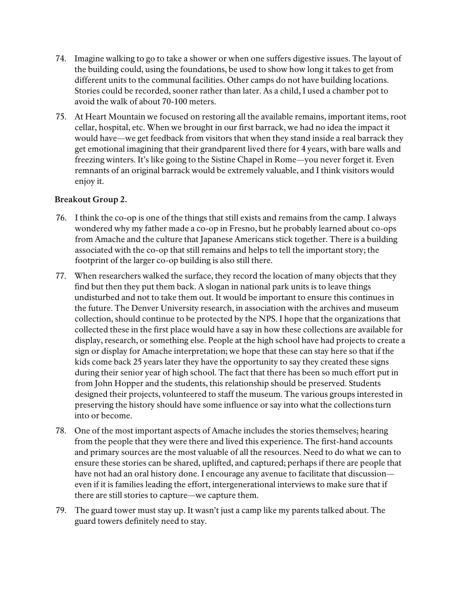- 74. Imagine walking to go to take a shower or when one suffers digestive issues. The layout of the building could, using the foundations, be used to show how long it takes to get from different units to the communal facilities. Other camps do not have building locations. Stories could be recorded, sooner rather than later. As a child, I used a chamber pot to avoid the walk of about 70-100 meters.
- 75. At Heart Mountain we focused on restoring all the available remains, important items, root cellar, hospital, etc. When we brought in our first barrack, we had no idea the impact it would have—we get feedback from visitors that when they stand inside a real barrack they get emotional imagining that their grandparent lived there for 4 years, with bare walls and freezing winters. It's like going to the Sistine Chapel in Rome—you never forget it. Even remnants of an original barrack would be extremely valuable, and I think visitors would enjoy it.

- 76. I think the co-op is one of the things that still exists and remains from the camp. I always wondered why my father made a co-op in Fresno, but he probably learned about co-ops from Amache and the culture that Japanese Americans stick together. There is a building associated with the co-op that still remains and helps to tell the important story; the footprint of the larger co-op building is also still there.
- 77. When researchers walked the surface, they record the location of many objects that they find but then they put them back. A slogan in national park units is to leave things undisturbed and not to take them out. It would be important to ensure this continues in the future. The Denver University research, in association with the archives and museum collection, should continue to be protected by the NPS. I hope that the organizations that collected these in the first place would have a say in how these collections are available for display, research, or something else. People at the high school have had projects to create a sign or display for Amache interpretation; we hope that these can stay here so that if the kids come back 25 years later they have the opportunity to say they created these signs during their senior year of high school. The fact that there has been so much effort put in from John Hopper and the students, this relationship should be preserved. Students designed their projects, volunteered to staff the museum. The various groups interested in preserving the history should have some influence or say into what the collections turn into or become.
- 78. One of the most important aspects of Amache includes the stories themselves; hearing from the people that they were there and lived this experience. The first-hand accounts and primary sources are the most valuable of all the resources. Need to do what we can to ensure these stories can be shared, uplifted, and captured; perhaps if there are people that have not had an oral history done. I encourage any avenue to facilitate that discussion even if it is families leading the effort, intergenerational interviews to make sure that if there are still stories to capture—we capture them.
- 79. The guard tower must stay up. It wasn't just a camp like my parents talked about. The guard towers definitely need to stay.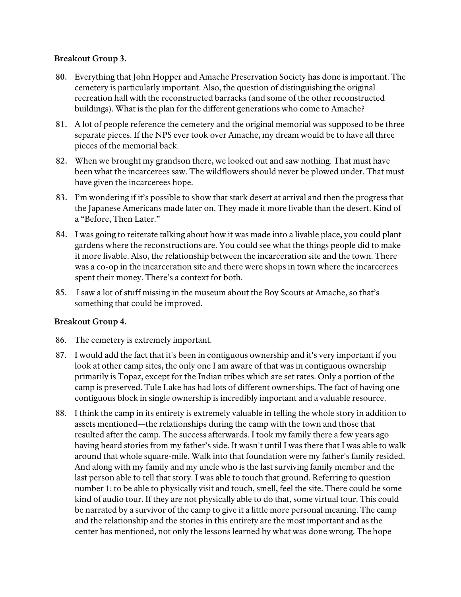### **Breakout Group 3.**

- **80.** Everything that John Hopper and Amache Preservation Society has done is important. The cemetery is particularly important. Also, the question of distinguishing the original recreation hall with the reconstructed barracks (and some of the other reconstructed buildings). What is the plan for the different generations who come to Amache?
- **81.** A lot of people reference the cemetery and the original memorial was supposed to be three separate pieces. If the NPS ever took over Amache, my dream would be to have all three pieces of the memorial back.
- **82.** When we brought my grandson there, we looked out and saw nothing. That must have been what the incarcerees saw. The wildflowers should never be plowed under. That must have given the incarcerees hope.
- **83.** I'm wondering if it's possible to show that stark desert at arrival and then the progress that the Japanese Americans made later on. They made it more livable than the desert. Kind of a "Before, Then Later."
- **84.** I was going to reiterate talking about how it was made into a livable place, you could plant gardens where the reconstructions are. You could see what the things people did to make it more livable. Also, the relationship between the incarceration site and the town. There was a co-op in the incarceration site and there were shops in town where the incarcerees spent their money. There's a context for both.
- **85.** I saw a lot of stuff missing in the museum about the Boy Scouts at Amache, so that's something that could be improved.

- 86. The cemetery is extremely important.
- 87. I would add the fact that it's been in contiguous ownership and it's very important if you look at other camp sites, the only one I am aware of that was in contiguous ownership primarily is Topaz, except for the Indian tribes which are set rates. Only a portion of the camp is preserved. Tule Lake has had lots of different ownerships. The fact of having one contiguous block in single ownership is incredibly important and a valuable resource.
- 88. I think the camp in its entirety is extremely valuable in telling the whole story in addition to assets mentioned—the relationships during the camp with the town and those that resulted after the camp. The success afterwards. I took my family there a few years ago having heard stories from my father's side. It wasn't until I was there that I was able to walk around that whole square-mile. Walk into that foundation were my father's family resided. And along with my family and my uncle who is the last surviving family member and the last person able to tell that story. I was able to touch that ground. Referring to question number 1: to be able to physically visit and touch, smell, feel the site. There could be some kind of audio tour. If they are not physically able to do that, some virtual tour. This could be narrated by a survivor of the camp to give it a little more personal meaning. The camp and the relationship and the stories in this entirety are the most important and as the center has mentioned, not only the lessons learned by what was done wrong. The hope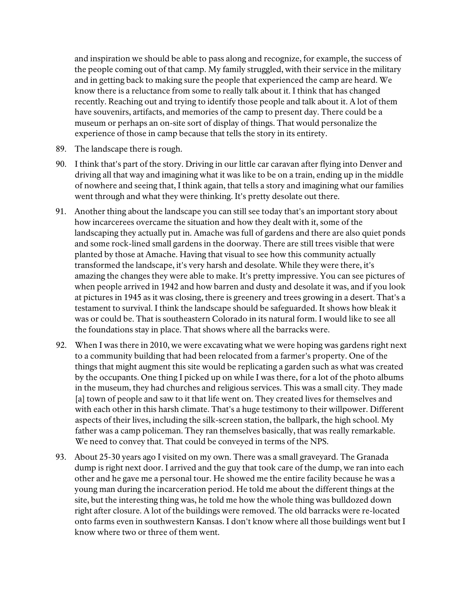and inspiration we should be able to pass along and recognize, for example, the success of the people coming out of that camp. My family struggled, with their service in the military and in getting back to making sure the people that experienced the camp are heard. We know there is a reluctance from some to really talk about it. I think that has changed recently. Reaching out and trying to identify those people and talk about it. A lot of them have souvenirs, artifacts, and memories of the camp to present day. There could be a museum or perhaps an on-site sort of display of things. That would personalize the experience of those in camp because that tells the story in its entirety.

- 89. The landscape there is rough.
- 90. I think that's part of the story. Driving in our little car caravan after flying into Denver and driving all that way and imagining what it was like to be on a train, ending up in the middle of nowhere and seeing that, I think again, that tells a story and imagining what our families went through and what they were thinking. It's pretty desolate out there.
- 91. Another thing about the landscape you can still see today that's an important story about how incarcerees overcame the situation and how they dealt with it, some of the landscaping they actually put in. Amache was full of gardens and there are also quiet ponds and some rock-lined small gardens in the doorway. There are still trees visible that were planted by those at Amache. Having that visual to see how this community actually transformed the landscape, it's very harsh and desolate. While they were there, it's amazing the changes they were able to make. It's pretty impressive. You can see pictures of when people arrived in 1942 and how barren and dusty and desolate it was, and if you look at pictures in 1945 as it was closing, there is greenery and trees growing in a desert. That's a testament to survival. I think the landscape should be safeguarded. It shows how bleak it was or could be. That is southeastern Colorado in its natural form. I would like to see all the foundations stay in place. That shows where all the barracks were.
- 92. When I was there in 2010, we were excavating what we were hoping was gardens right next to a community building that had been relocated from a farmer's property. One of the things that might augment this site would be replicating a garden such as what was created by the occupants. One thing I picked up on while I was there, for a lot of the photo albums in the museum, they had churches and religious services. This was a small city. They made [a] town of people and saw to it that life went on. They created lives for themselves and with each other in this harsh climate. That's a huge testimony to their willpower. Different aspects of their lives, including the silk-screen station, the ballpark, the high school. My father was a camp policeman. They ran themselves basically, that was really remarkable. We need to convey that. That could be conveyed in terms of the NPS.
- 93. About 25-30 years ago I visited on my own. There was a small graveyard. The Granada dump is right next door. I arrived and the guy that took care of the dump, we ran into each other and he gave me a personal tour. He showed me the entire facility because he was a young man during the incarceration period. He told me about the different things at the site, but the interesting thing was, he told me how the whole thing was bulldozed down right after closure. A lot of the buildings were removed. The old barracks were re-located onto farms even in southwestern Kansas. I don't know where all those buildings went but I know where two or three of them went.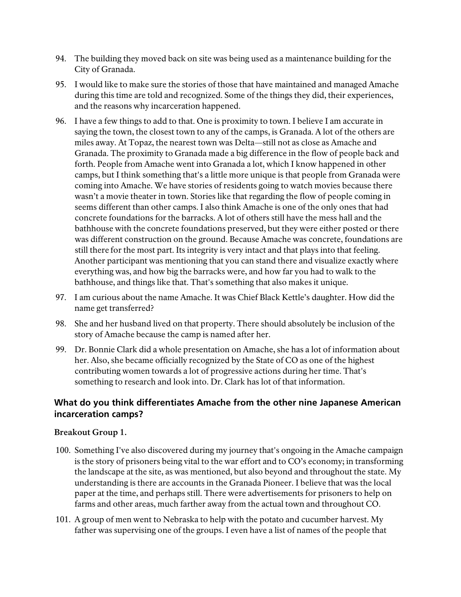- 94. The building they moved back on site was being used as a maintenance building for the City of Granada.
- 95. I would like to make sure the stories of those that have maintained and managed Amache during this time are told and recognized. Some of the things they did, their experiences, and the reasons why incarceration happened.
- 96. I have a few things to add to that. One is proximity to town. I believe I am accurate in saying the town, the closest town to any of the camps, is Granada. A lot of the others are miles away. At Topaz, the nearest town was Delta—still not as close as Amache and Granada. The proximity to Granada made a big difference in the flow of people back and forth. People from Amache went into Granada a lot, which I know happened in other camps, but I think something that's a little more unique is that people from Granada were coming into Amache. We have stories of residents going to watch movies because there wasn't a movie theater in town. Stories like that regarding the flow of people coming in seems different than other camps. I also think Amache is one of the only ones that had concrete foundations for the barracks. A lot of others still have the mess hall and the bathhouse with the concrete foundations preserved, but they were either posted or there was different construction on the ground. Because Amache was concrete, foundations are still there for the most part. Its integrity is very intact and that plays into that feeling. Another participant was mentioning that you can stand there and visualize exactly where everything was, and how big the barracks were, and how far you had to walk to the bathhouse, and things like that. That's something that also makes it unique.
- 97. I am curious about the name Amache. It was Chief Black Kettle's daughter. How did the name get transferred?
- 98. She and her husband lived on that property. There should absolutely be inclusion of the story of Amache because the camp is named after her.
- 99. Dr. Bonnie Clark did a whole presentation on Amache, she has a lot of information about her. Also, she became officially recognized by the State of CO as one of the highest contributing women towards a lot of progressive actions during her time. That's something to research and look into. Dr. Clark has lot of that information.

# <span id="page-16-0"></span>**What do you think differentiates Amache from the other nine Japanese American incarceration camps?**

- 100. Something I've also discovered during my journey that's ongoing in the Amache campaign is the story of prisoners being vital to the war effort and to CO's economy; in transforming the landscape at the site, as was mentioned, but also beyond and throughout the state. My understanding is there are accounts in the Granada Pioneer. I believe that was the local paper at the time, and perhaps still. There were advertisements for prisoners to help on farms and other areas, much farther away from the actual town and throughout CO.
- 101. A group of men went to Nebraska to help with the potato and cucumber harvest. My father was supervising one of the groups. I even have a list of names of the people that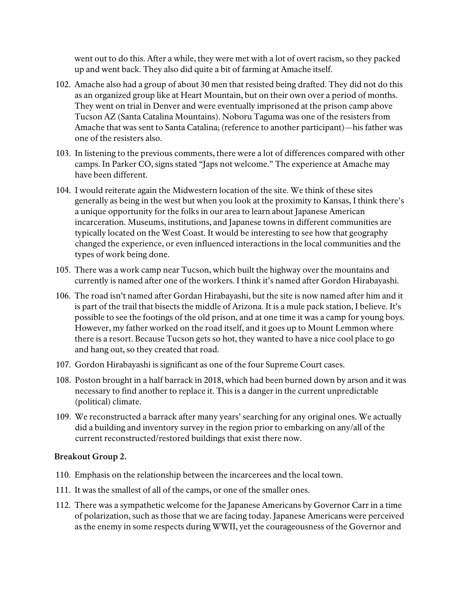went out to do this. After a while, they were met with a lot of overt racism, so they packed up and went back. They also did quite a bit of farming at Amache itself.

- 102. Amache also had a group of about 30 men that resisted being drafted. They did not do this as an organized group like at Heart Mountain, but on their own over a period of months. They went on trial in Denver and were eventually imprisoned at the prison camp above Tucson AZ (Santa Catalina Mountains). Noboru Taguma was one of the resisters from Amache that was sent to Santa Catalina; (reference to another participant)—his father was one of the resisters also.
- 103. In listening to the previous comments, there were a lot of differences compared with other camps. In Parker CO, signs stated "Japs not welcome." The experience at Amache may have been different.
- 104. I would reiterate again the Midwestern location of the site. We think of these sites generally as being in the west but when you look at the proximity to Kansas, I think there's a unique opportunity for the folks in our area to learn about Japanese American incarceration. Museums, institutions, and Japanese towns in different communities are typically located on the West Coast. It would be interesting to see how that geography changed the experience, or even influenced interactions in the local communities and the types of work being done.
- 105. There was a work camp near Tucson, which built the highway over the mountains and currently is named after one of the workers. I think it's named after Gordon Hirabayashi.
- 106. The road isn't named after Gordan Hirabayashi, but the site is now named after him and it is part of the trail that bisects the middle of Arizona. It is a mule pack station, I believe. It's possible to see the footings of the old prison, and at one time it was a camp for young boys. However, my father worked on the road itself, and it goes up to Mount Lemmon where there is a resort. Because Tucson gets so hot, they wanted to have a nice cool place to go and hang out, so they created that road.
- 107. Gordon Hirabayashi is significant as one of the four Supreme Court cases.
- 108. Poston brought in a half barrack in 2018, which had been burned down by arson and it was necessary to find another to replace it. This is a danger in the current unpredictable (political) climate.
- 109. We reconstructed a barrack after many years' searching for any original ones. We actually did a building and inventory survey in the region prior to embarking on any/all of the current reconstructed/restored buildings that exist there now.

- 110. Emphasis on the relationship between the incarcerees and the local town.
- 111. It was the smallest of all of the camps, or one of the smaller ones.
- 112. There was a sympathetic welcome for the Japanese Americans by Governor Carr in a time of polarization, such as those that we are facing today. Japanese Americans were perceived as the enemy in some respects during WWII, yet the courageousness of the Governor and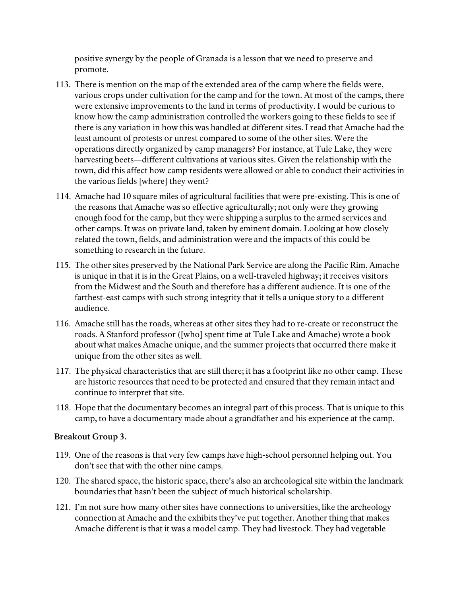positive synergy by the people of Granada is a lesson that we need to preserve and promote.

- 113. There is mention on the map of the extended area of the camp where the fields were, various crops under cultivation for the camp and for the town. At most of the camps, there were extensive improvements to the land in terms of productivity. I would be curious to know how the camp administration controlled the workers going to these fields to see if there is any variation in how this was handled at different sites. I read that Amache had the least amount of protests or unrest compared to some of the other sites. Were the operations directly organized by camp managers? For instance, at Tule Lake, they were harvesting beets—different cultivations at various sites. Given the relationship with the town, did this affect how camp residents were allowed or able to conduct their activities in the various fields [where] they went?
- 114. Amache had 10 square miles of agricultural facilities that were pre-existing. This is one of the reasons that Amache was so effective agriculturally; not only were they growing enough food for the camp, but they were shipping a surplus to the armed services and other camps. It was on private land, taken by eminent domain. Looking at how closely related the town, fields, and administration were and the impacts of this could be something to research in the future.
- 115. The other sites preserved by the National Park Service are along the Pacific Rim. Amache is unique in that it is in the Great Plains, on a well-traveled highway; it receives visitors from the Midwest and the South and therefore has a different audience. It is one of the farthest-east camps with such strong integrity that it tells a unique story to a different audience.
- 116. Amache still has the roads, whereas at other sites they had to re-create or reconstruct the roads. A Stanford professor ([who] spent time at Tule Lake and Amache) wrote a book about what makes Amache unique, and the summer projects that occurred there make it unique from the other sites as well.
- 117. The physical characteristics that are still there; it has a footprint like no other camp. These are historic resources that need to be protected and ensured that they remain intact and continue to interpret that site.
- 118. Hope that the documentary becomes an integral part of this process. That is unique to this camp, to have a documentary made about a grandfather and his experience at the camp.

- 119. One of the reasons is that very few camps have high-school personnel helping out. You don't see that with the other nine camps.
- 120. The shared space, the historic space, there's also an archeological site within the landmark boundaries that hasn't been the subject of much historical scholarship.
- 121. I'm not sure how many other sites have connections to universities, like the archeology connection at Amache and the exhibits they've put together. Another thing that makes Amache different is that it was a model camp. They had livestock. They had vegetable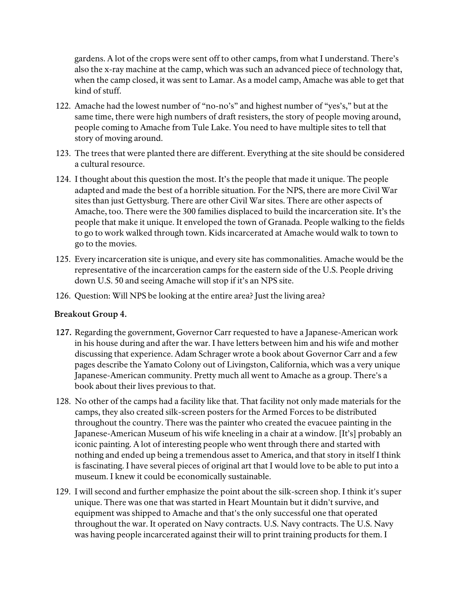gardens. A lot of the crops were sent off to other camps, from what I understand. There's also the x-ray machine at the camp, which was such an advanced piece of technology that, when the camp closed, it was sent to Lamar. As a model camp, Amache was able to get that kind of stuff.

- 122. Amache had the lowest number of "no-no's" and highest number of "yes's," but at the same time, there were high numbers of draft resisters, the story of people moving around, people coming to Amache from Tule Lake. You need to have multiple sites to tell that story of moving around.
- 123. The trees that were planted there are different. Everything at the site should be considered a cultural resource.
- 124. I thought about this question the most. It's the people that made it unique. The people adapted and made the best of a horrible situation. For the NPS, there are more Civil War sites than just Gettysburg. There are other Civil War sites. There are other aspects of Amache, too. There were the 300 families displaced to build the incarceration site. It's the people that make it unique. It enveloped the town of Granada. People walking to the fields to go to work walked through town. Kids incarcerated at Amache would walk to town to go to the movies.
- 125. Every incarceration site is unique, and every site has commonalities. Amache would be the representative of the incarceration camps for the eastern side of the U.S. People driving down U.S. 50 and seeing Amache will stop if it's an NPS site.
- 126. Question: Will NPS be looking at the entire area? Just the living area?

- **127.** Regarding the government, Governor Carr requested to have a Japanese-American work in his house during and after the war. I have letters between him and his wife and mother discussing that experience. Adam Schrager wrote a book about Governor Carr and a few pages describe the Yamato Colony out of Livingston, California, which was a very unique Japanese-American community. Pretty much all went to Amache as a group. There's a book about their lives previous to that.
- 128. No other of the camps had a facility like that. That facility not only made materials for the camps, they also created silk-screen posters for the Armed Forces to be distributed throughout the country. There was the painter who created the evacuee painting in the Japanese-American Museum of his wife kneeling in a chair at a window. [It's] probably an iconic painting. A lot of interesting people who went through there and started with nothing and ended up being a tremendous asset to America, and that story in itself I think is fascinating. I have several pieces of original art that I would love to be able to put into a museum. I knew it could be economically sustainable.
- 129. I will second and further emphasize the point about the silk-screen shop. I think it's super unique. There was one that was started in Heart Mountain but it didn't survive, and equipment was shipped to Amache and that's the only successful one that operated throughout the war. It operated on Navy contracts. U.S. Navy contracts. The U.S. Navy was having people incarcerated against their will to print training products for them. I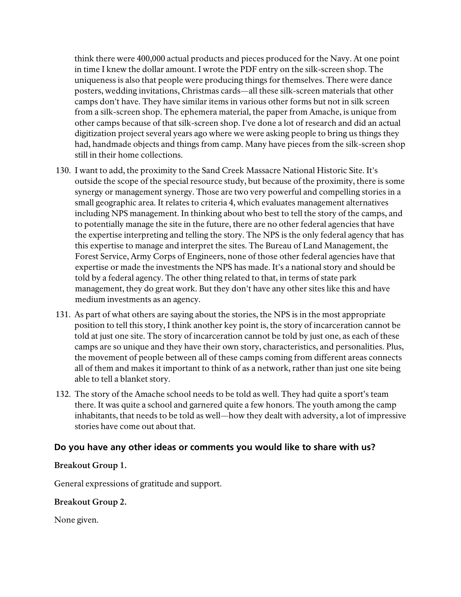think there were 400,000 actual products and pieces produced for the Navy. At one point in time I knew the dollar amount. I wrote the PDF entry on the silk-screen shop. The uniqueness is also that people were producing things for themselves. There were dance posters, wedding invitations, Christmas cards—all these silk-screen materials that other camps don't have. They have similar items in various other forms but not in silk screen from a silk-screen shop. The ephemera material, the paper from Amache, is unique from other camps because of that silk-screen shop. I've done a lot of research and did an actual digitization project several years ago where we were asking people to bring us things they had, handmade objects and things from camp. Many have pieces from the silk-screen shop still in their home collections.

- 130. I want to add, the proximity to the Sand Creek Massacre National Historic Site. It's outside the scope of the special resource study, but because of the proximity, there is some synergy or management synergy. Those are two very powerful and compelling stories in a small geographic area. It relates to criteria 4, which evaluates management alternatives including NPS management. In thinking about who best to tell the story of the camps, and to potentially manage the site in the future, there are no other federal agencies that have the expertise interpreting and telling the story. The NPS is the only federal agency that has this expertise to manage and interpret the sites. The Bureau of Land Management, the Forest Service, Army Corps of Engineers, none of those other federal agencies have that expertise or made the investments the NPS has made. It's a national story and should be told by a federal agency. The other thing related to that, in terms of state park management, they do great work. But they don't have any other sites like this and have medium investments as an agency.
- 131. As part of what others are saying about the stories, the NPS is in the most appropriate position to tell this story, I think another key point is, the story of incarceration cannot be told at just one site. The story of incarceration cannot be told by just one, as each of these camps are so unique and they have their own story, characteristics, and personalities. Plus, the movement of people between all of these camps coming from different areas connects all of them and makes it important to think of as a network, rather than just one site being able to tell a blanket story.
- 132. The story of the Amache school needs to be told as well. They had quite a sport's team there. It was quite a school and garnered quite a few honors. The youth among the camp inhabitants, that needs to be told as well—how they dealt with adversity, a lot of impressive stories have come out about that.

### <span id="page-20-0"></span>**Do you have any other ideas or comments you would like to share with us?**

#### **Breakout Group 1.**

General expressions of gratitude and support.

#### **Breakout Group 2.**

None given.